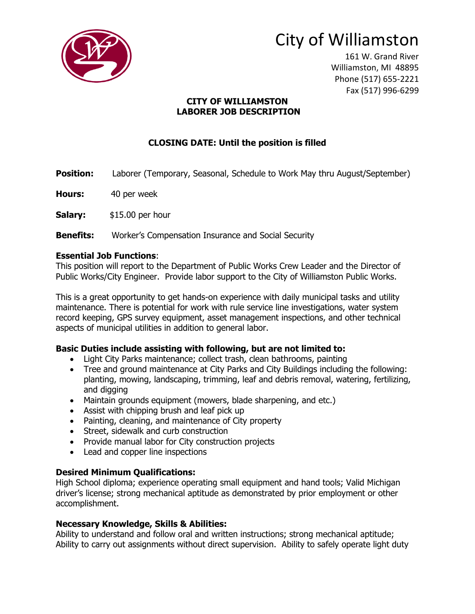

# City of Williamston

161 W. Grand River Williamston, MI 48895 Phone (517) 655-2221 Fax (517) 996-6299

#### **CITY OF WILLIAMSTON LABORER JOB DESCRIPTION**

## **CLOSING DATE: Until the position is filled**

**Position:** Laborer (Temporary, Seasonal, Schedule to Work May thru August/September)

**Hours:** 40 per week

**Salary:** \$15.00 per hour

## **Benefits:** Worker's Compensation Insurance and Social Security

#### **Essential Job Functions**:

This position will report to the Department of Public Works Crew Leader and the Director of Public Works/City Engineer. Provide labor support to the City of Williamston Public Works.

This is a great opportunity to get hands-on experience with daily municipal tasks and utility maintenance. There is potential for work with rule service line investigations, water system record keeping, GPS survey equipment, asset management inspections, and other technical aspects of municipal utilities in addition to general labor.

## **Basic Duties include assisting with following, but are not limited to:**

- Light City Parks maintenance; collect trash, clean bathrooms, painting
- Tree and ground maintenance at City Parks and City Buildings including the following: planting, mowing, landscaping, trimming, leaf and debris removal, watering, fertilizing, and digging
- Maintain grounds equipment (mowers, blade sharpening, and etc.)
- Assist with chipping brush and leaf pick up
- Painting, cleaning, and maintenance of City property
- Street, sidewalk and curb construction
- Provide manual labor for City construction projects
- Lead and copper line inspections

## **Desired Minimum Qualifications:**

High School diploma; experience operating small equipment and hand tools; Valid Michigan driver's license; strong mechanical aptitude as demonstrated by prior employment or other accomplishment.

#### **Necessary Knowledge, Skills & Abilities:**

Ability to understand and follow oral and written instructions; strong mechanical aptitude; Ability to carry out assignments without direct supervision. Ability to safely operate light duty